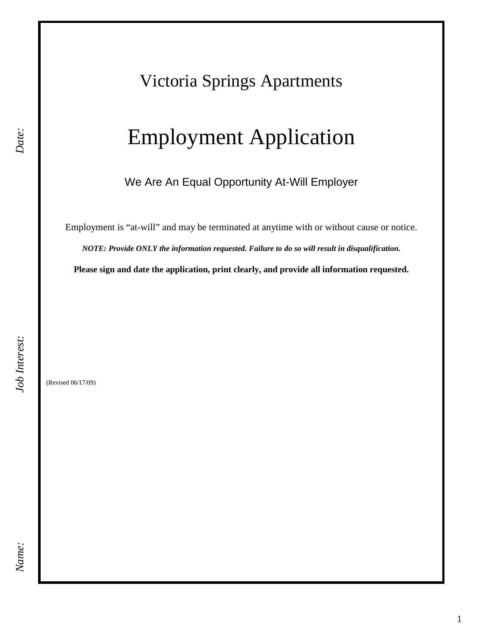## Victoria Springs Apartments

# Employment Application

Ï We Are An Equal Opportunity At-Will Employer

Employment is "at-will" and may be terminated at anytime with or without cause or notice.

*NOTE: Provide ONLY the information requested. Failure to do so will result in disqualification.*

**Please sign and date the application, print clearly, and provide all information requested.** 

(Revised 06/17/09)

*Date:*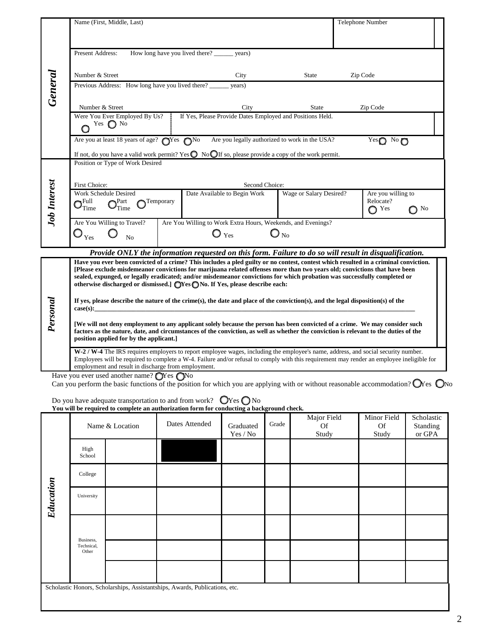|                                                                                                                                            | Name (First, Middle, Last)                                                                                                                                                                                                                                          |           |                                                              |                          | Telephone Number                                                                                       |  |  |  |
|--------------------------------------------------------------------------------------------------------------------------------------------|---------------------------------------------------------------------------------------------------------------------------------------------------------------------------------------------------------------------------------------------------------------------|-----------|--------------------------------------------------------------|--------------------------|--------------------------------------------------------------------------------------------------------|--|--|--|
|                                                                                                                                            |                                                                                                                                                                                                                                                                     |           |                                                              |                          |                                                                                                        |  |  |  |
|                                                                                                                                            | How long have you lived there?<br>Present Address:<br>years)                                                                                                                                                                                                        |           |                                                              |                          |                                                                                                        |  |  |  |
|                                                                                                                                            |                                                                                                                                                                                                                                                                     |           |                                                              |                          |                                                                                                        |  |  |  |
|                                                                                                                                            | Number & Street                                                                                                                                                                                                                                                     |           | City                                                         | <b>State</b>             | Zip Code                                                                                               |  |  |  |
| General                                                                                                                                    | Previous Address: How long have you lived there?                                                                                                                                                                                                                    |           | years)                                                       |                          |                                                                                                        |  |  |  |
|                                                                                                                                            |                                                                                                                                                                                                                                                                     |           |                                                              |                          |                                                                                                        |  |  |  |
|                                                                                                                                            | Number & Street                                                                                                                                                                                                                                                     |           | City                                                         | <b>State</b>             | Zip Code                                                                                               |  |  |  |
|                                                                                                                                            | Were You Ever Employed By Us?<br>Yes $\bigcirc$ No                                                                                                                                                                                                                  |           | If Yes, Please Provide Dates Employed and Positions Held.    |                          |                                                                                                        |  |  |  |
|                                                                                                                                            |                                                                                                                                                                                                                                                                     |           |                                                              |                          |                                                                                                        |  |  |  |
|                                                                                                                                            | Are you at least 18 years of age? $\bigcirc$ Yes $\bigcirc$ No                                                                                                                                                                                                      |           | Are you legally authorized to work in the USA?               |                          | $Yes$ No $\bigcirc$                                                                                    |  |  |  |
|                                                                                                                                            | If not, do you have a valid work permit? Yes $\bigcirc$ No $\bigcirc$ If so, please provide a copy of the work permit.                                                                                                                                              |           |                                                              |                          |                                                                                                        |  |  |  |
|                                                                                                                                            | Position or Type of Work Desired                                                                                                                                                                                                                                    |           |                                                              |                          |                                                                                                        |  |  |  |
|                                                                                                                                            |                                                                                                                                                                                                                                                                     |           |                                                              |                          |                                                                                                        |  |  |  |
|                                                                                                                                            | First Choice:<br>Work Schedule Desired                                                                                                                                                                                                                              |           | Second Choice:<br>Date Available to Begin Work               | Wage or Salary Desired?  | Are you willing to                                                                                     |  |  |  |
|                                                                                                                                            | ₹Full<br>$\bigcap$ Part                                                                                                                                                                                                                                             | Temporary |                                                              |                          | Relocate?                                                                                              |  |  |  |
| <b>Job Interest</b>                                                                                                                        | $\mathbf{O}_{\text{Time}}$<br>Time                                                                                                                                                                                                                                  |           |                                                              |                          | $\bigcirc$ Yes<br>$\bigcirc$ No                                                                        |  |  |  |
|                                                                                                                                            | Are You Willing to Travel?                                                                                                                                                                                                                                          |           | Are You Willing to Work Extra Hours, Weekends, and Evenings? |                          |                                                                                                        |  |  |  |
|                                                                                                                                            | $\mathbb{O}_{\mathop{\mathrm{Yes}}\nolimits}$<br>N <sub>0</sub>                                                                                                                                                                                                     |           | $\bf{O}$ $_{\rm Yes}$                                        | $\mathbf{O}_{\text{No}}$ |                                                                                                        |  |  |  |
|                                                                                                                                            |                                                                                                                                                                                                                                                                     |           |                                                              |                          |                                                                                                        |  |  |  |
|                                                                                                                                            | Have you ever been convicted of a crime? This includes a pled guilty or no contest, contest which resulted in a criminal conviction.                                                                                                                                |           |                                                              |                          | Provide ONLY the information requested on this form. Failure to do so will result in disqualification. |  |  |  |
|                                                                                                                                            | [Please exclude misdemeanor convictions for marijuana related offenses more than two years old; convictions that have been                                                                                                                                          |           |                                                              |                          |                                                                                                        |  |  |  |
|                                                                                                                                            | sealed, expunged, or legally eradicated; and/or misdemeanor convictions for which probation was successfully completed or                                                                                                                                           |           |                                                              |                          |                                                                                                        |  |  |  |
|                                                                                                                                            | otherwise discharged or dismissed.] $\bigcirc$ Yes $\bigcirc$ No. If Yes, please describe each:                                                                                                                                                                     |           |                                                              |                          |                                                                                                        |  |  |  |
|                                                                                                                                            | If yes, please describe the nature of the crime(s), the date and place of the conviction(s), and the legal disposition(s) of the                                                                                                                                    |           |                                                              |                          |                                                                                                        |  |  |  |
|                                                                                                                                            | case(s):                                                                                                                                                                                                                                                            |           |                                                              |                          |                                                                                                        |  |  |  |
| Personal<br>position applied for by the applicant.]                                                                                        |                                                                                                                                                                                                                                                                     |           |                                                              |                          |                                                                                                        |  |  |  |
|                                                                                                                                            |                                                                                                                                                                                                                                                                     |           |                                                              |                          |                                                                                                        |  |  |  |
|                                                                                                                                            | W-2 / W-4 The IRS requires employers to report employee wages, including the employee's name, address, and social security number.                                                                                                                                  |           |                                                              |                          |                                                                                                        |  |  |  |
| Employees will be required to complete a W-4. Failure and/or refusal to comply with this requirement may render an employee ineligible for |                                                                                                                                                                                                                                                                     |           |                                                              |                          |                                                                                                        |  |  |  |
|                                                                                                                                            | [We will not deny employment to any applicant solely because the person has been convicted of a crime. We may consider such<br>factors as the nature, date, and circumstances of the conviction, as well as whether the conviction is relevant to the duties of the |           |                                                              |                          |                                                                                                        |  |  |  |
|                                                                                                                                            | employment and result in discharge from employment.                                                                                                                                                                                                                 |           |                                                              |                          |                                                                                                        |  |  |  |

Have you ever used another name?  $\bigcirc$ Yes  $\bigcirc$ No

Can you perform the basic functions of the position for which you are applying with or without reasonable accommodation?  $\bigcirc$  S  $\bigcirc$  No

 $\overline{ }$ 

| Do you have adequate transportation to and from work? $\mathbb{Q}$ Yes $\mathbb{Q}$ No    |  |
|-------------------------------------------------------------------------------------------|--|
| You will be required to complete an authorization form for conducting a background check. |  |

|                                                                             | Name & Location     |  | Dates Attended | $\circ$<br>Graduated<br>Yes / No | $\circ$<br>Grade | Major Field<br><b>Of</b><br>Study | Minor Field<br><b>Of</b><br>Study | Scholastic<br>Standing<br>or GPA |
|-----------------------------------------------------------------------------|---------------------|--|----------------|----------------------------------|------------------|-----------------------------------|-----------------------------------|----------------------------------|
| Education                                                                   | High<br>School      |  |                |                                  |                  |                                   |                                   |                                  |
|                                                                             | College             |  |                |                                  |                  |                                   |                                   |                                  |
|                                                                             | University          |  |                |                                  |                  |                                   |                                   |                                  |
|                                                                             | Business,           |  |                |                                  |                  |                                   |                                   |                                  |
|                                                                             | Technical,<br>Other |  |                |                                  |                  |                                   |                                   |                                  |
|                                                                             |                     |  |                |                                  |                  |                                   |                                   |                                  |
| Scholastic Honors, Scholarships, Assistantships, Awards, Publications, etc. |                     |  |                |                                  |                  |                                   |                                   |                                  |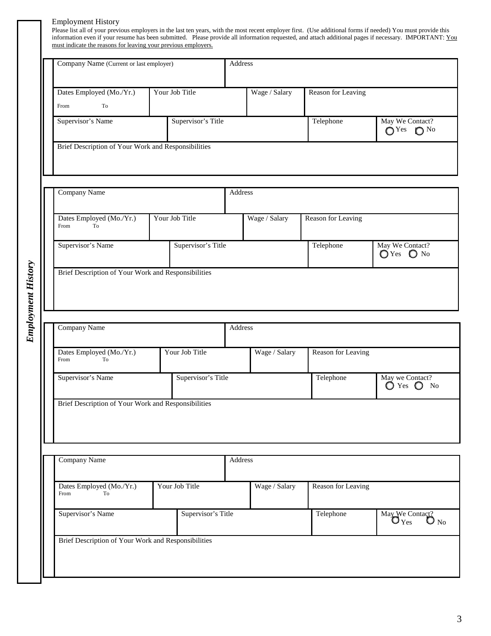#### Employment History

**Employment History** *Employment History*

Please list all of your previous employers in the last ten years, with the most recent employer first. (Use additional forms if needed) You must provide this information even if your resume has been submitted. Please provide all information requested, and attach additional pages if necessary. IMPORTANT: You must indicate the reasons for leaving your previous employers.

| Company Name (Current or last employer)                                  |                    | Address       |                    |                                                   |  |  |
|--------------------------------------------------------------------------|--------------------|---------------|--------------------|---------------------------------------------------|--|--|
| Dates Employed (Mo./Yr.)<br>To<br>From                                   | Your Job Title     | Wage / Salary | Reason for Leaving |                                                   |  |  |
| Supervisor's Name                                                        | Supervisor's Title |               | Telephone          | May We Contact?<br>$\bigcirc$ Yes<br>$\bigcap$ No |  |  |
| Brief Description of Your Work and Responsibilities                      |                    |               |                    |                                                   |  |  |
| Company Name                                                             |                    | Address       |                    |                                                   |  |  |
| Dates Employed (Mo./Yr.)<br>From<br>To                                   | Your Job Title     | Wage / Salary | Reason for Leaving |                                                   |  |  |
|                                                                          |                    |               | Telephone          | May We Contact?                                   |  |  |
| Supervisor's Name<br>Brief Description of Your Work and Responsibilities | Supervisor's Title |               |                    | $\bigcirc$ Yes<br>$\bigcirc$ No                   |  |  |
| Company Name                                                             |                    | Address       |                    |                                                   |  |  |
| Dates Employed (Mo./Yr.)<br>From<br>To                                   | Your Job Title     | Wage / Salary | Reason for Leaving |                                                   |  |  |
| Supervisor's Name                                                        | Supervisor's Title |               | Telephone          | May we Contact?<br>$\bigcirc$ Yes $\bigcirc$ No   |  |  |
| Brief Description of Your Work and Responsibilities                      |                    |               |                    |                                                   |  |  |
| Company Name                                                             |                    | Address       |                    |                                                   |  |  |
| Dates Employed (Mo./Yr.)<br>To<br>From                                   | Your Job Title     | Wage / Salary | Reason for Leaving |                                                   |  |  |

3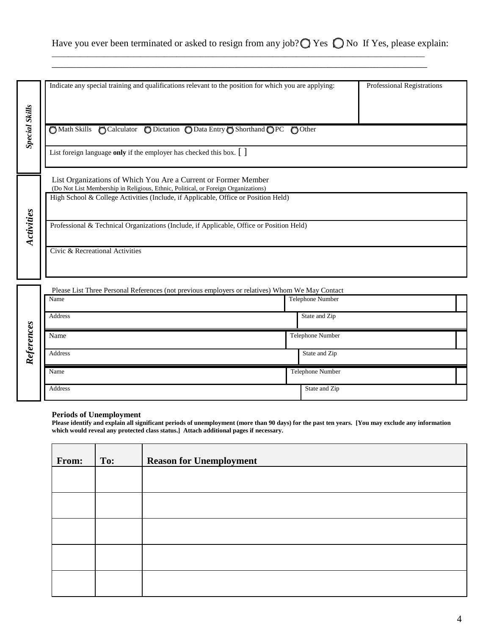## Have you ever been terminated or asked to resign from any job? $\bigcirc$  Yes  $\bigcirc$  No If Yes, please explain:

\_\_\_\_\_\_\_\_\_\_\_\_\_\_\_\_\_\_\_\_\_\_\_\_\_\_\_\_\_\_\_\_\_\_\_\_\_\_\_\_\_\_\_\_\_\_\_\_\_\_\_\_\_\_\_\_\_\_\_\_\_\_\_\_\_\_\_\_\_\_\_\_\_\_\_\_\_\_\_\_\_\_\_\_\_\_\_\_\_\_\_\_\_ \_\_\_\_\_\_\_\_\_\_\_\_\_\_\_\_\_\_\_\_\_\_\_\_\_\_\_\_\_\_\_\_\_\_\_\_\_\_\_\_\_\_\_\_\_\_\_\_\_\_\_\_\_\_\_\_\_\_\_\_\_\_\_\_\_\_\_\_\_\_\_\_\_\_\_\_\_\_

|                       | Indicate any special training and qualifications relevant to the position for which you are applying: |                         | Professional Registrations |  |
|-----------------------|-------------------------------------------------------------------------------------------------------|-------------------------|----------------------------|--|
|                       |                                                                                                       |                         |                            |  |
|                       |                                                                                                       |                         |                            |  |
| <b>Special Skills</b> |                                                                                                       |                         |                            |  |
|                       | O Math Skills O Calculator O Dictation O Data Entry O Shorthand OPC O Other                           |                         |                            |  |
|                       |                                                                                                       |                         |                            |  |
|                       |                                                                                                       |                         |                            |  |
|                       | List foreign language only if the employer has checked this box. $\lceil \ \rceil$                    |                         |                            |  |
|                       |                                                                                                       |                         |                            |  |
|                       | List Organizations of Which You Are a Current or Former Member                                        |                         |                            |  |
|                       | (Do Not List Membership in Religious, Ethnic, Political, or Foreign Organizations)                    |                         |                            |  |
|                       | High School & College Activities (Include, if Applicable, Office or Position Held)                    |                         |                            |  |
|                       |                                                                                                       |                         |                            |  |
|                       |                                                                                                       |                         |                            |  |
| Activities            | Professional & Technical Organizations (Include, if Applicable, Office or Position Held)              |                         |                            |  |
|                       |                                                                                                       |                         |                            |  |
|                       |                                                                                                       |                         |                            |  |
|                       | Civic & Recreational Activities                                                                       |                         |                            |  |
|                       |                                                                                                       |                         |                            |  |
|                       |                                                                                                       |                         |                            |  |
|                       | Please List Three Personal References (not previous employers or relatives) Whom We May Contact       |                         |                            |  |
|                       | Name                                                                                                  | <b>Telephone Number</b> |                            |  |
|                       |                                                                                                       |                         |                            |  |
|                       | Address                                                                                               | State and Zip           |                            |  |
|                       |                                                                                                       |                         |                            |  |
| References            | Name                                                                                                  | Telephone Number        |                            |  |
|                       |                                                                                                       |                         |                            |  |
|                       | Address                                                                                               | State and Zip           |                            |  |
|                       |                                                                                                       | Telephone Number        |                            |  |
|                       | Name                                                                                                  |                         |                            |  |
|                       | Address                                                                                               | State and Zip           |                            |  |
|                       |                                                                                                       |                         |                            |  |
|                       |                                                                                                       |                         |                            |  |

#### **Periods of Unemployment**

**Please identify and explain all significant periods of unemployment (more than 90 days) for the past ten years. [You may exclude any information which would reveal any protected class status.] Attach additional pages if necessary.** 

| From: | To: | <b>Reason for Unemployment</b> |
|-------|-----|--------------------------------|
|       |     |                                |
|       |     |                                |
|       |     |                                |
|       |     |                                |
|       |     |                                |